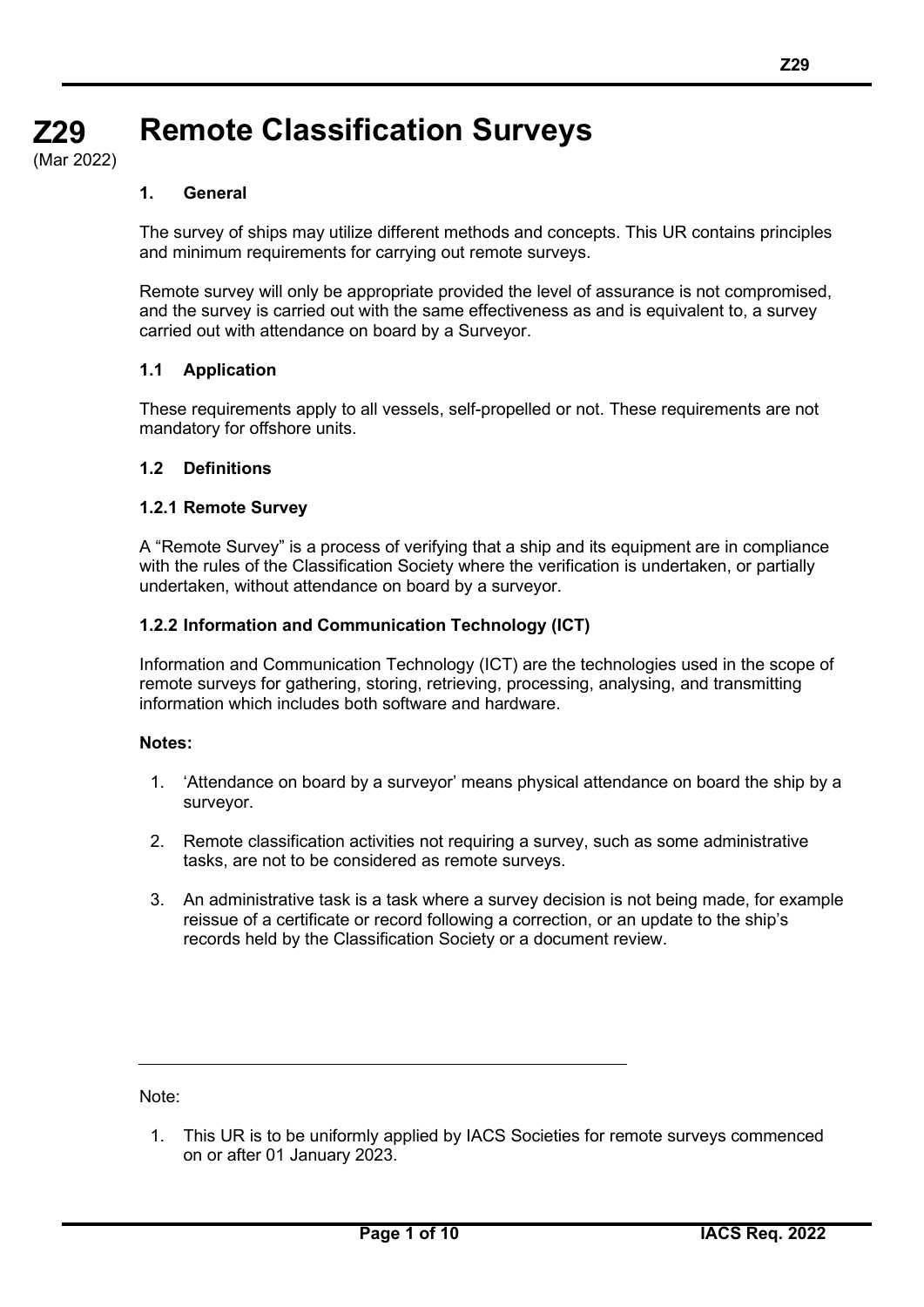# **Z29 Z29 Remote Classification Surveys**

**(cont)** (Mar 2022)

# **1. General**

The survey of ships may utilize different methods and concepts. This UR contains principles and minimum requirements for carrying out remote surveys.

Remote survey will only be appropriate provided the level of assurance is not compromised, and the survey is carried out with the same effectiveness as and is equivalent to, a survey carried out with attendance on board by a Surveyor.

# **1.1 Application**

These requirements apply to all vessels, self-propelled or not. These requirements are not mandatory for offshore units.

# **1.2 Definitions**

# **1.2.1 Remote Survey**

A "Remote Survey" is a process of verifying that a ship and its equipment are in compliance with the rules of the Classification Society where the verification is undertaken, or partially undertaken, without attendance on board by a surveyor.

# **1.2.2 Information and Communication Technology (ICT)**

Information and Communication Technology (ICT) are the technologies used in the scope of remote surveys for gathering, storing, retrieving, processing, analysing, and transmitting information which includes both software and hardware.

# **Notes:**

- 1. 'Attendance on board by a surveyor' means physical attendance on board the ship by a surveyor.
- 2. Remote classification activities not requiring a survey, such as some administrative tasks, are not to be considered as remote surveys.
- 3. An administrative task is a task where a survey decision is not being made, for example reissue of a certificate or record following a correction, or an update to the ship's records held by the Classification Society or a document review.

Note:

1. This UR is to be uniformly applied by IACS Societies for remote surveys commenced on or after 01 January 2023.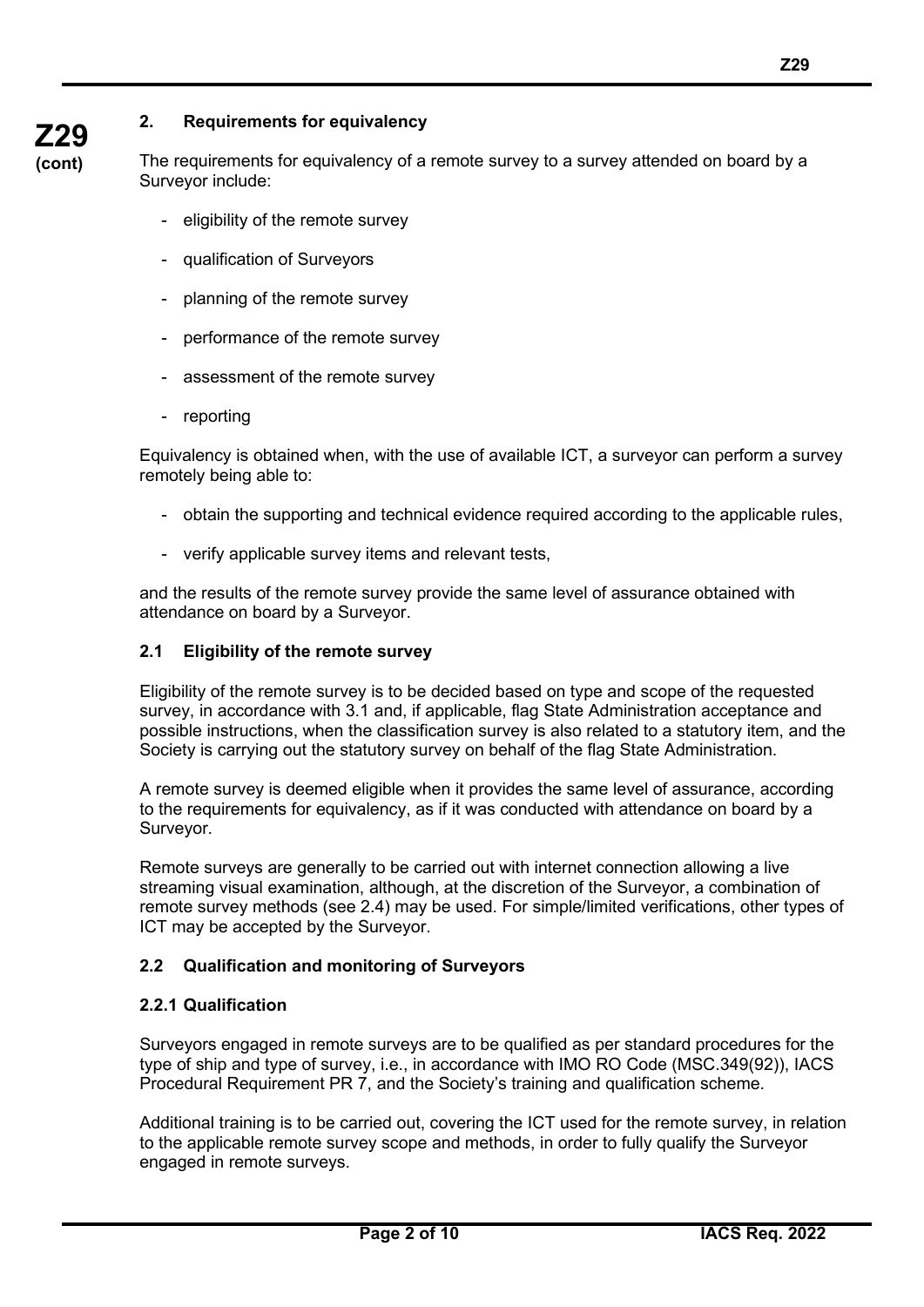# **Z29**

**(cont)**

**2. Requirements for equivalency**

The requirements for equivalency of a remote survey to a survey attended on board by a Surveyor include:

- eligibility of the remote survey
- qualification of Surveyors
- planning of the remote survey
- performance of the remote survey
- assessment of the remote survey
- reporting

Equivalency is obtained when, with the use of available ICT, a surveyor can perform a survey remotely being able to:

- obtain the supporting and technical evidence required according to the applicable rules,
- verify applicable survey items and relevant tests,

and the results of the remote survey provide the same level of assurance obtained with attendance on board by a Surveyor.

# **2.1 Eligibility of the remote survey**

Eligibility of the remote survey is to be decided based on type and scope of the requested survey, in accordance with 3.1 and, if applicable, flag State Administration acceptance and possible instructions, when the classification survey is also related to a statutory item, and the Society is carrying out the statutory survey on behalf of the flag State Administration.

A remote survey is deemed eligible when it provides the same level of assurance, according to the requirements for equivalency, as if it was conducted with attendance on board by a Surveyor.

Remote surveys are generally to be carried out with internet connection allowing a live streaming visual examination, although, at the discretion of the Surveyor, a combination of remote survey methods (see 2.4) may be used. For simple/limited verifications, other types of ICT may be accepted by the Surveyor.

# **2.2 Qualification and monitoring of Surveyors**

# **2.2.1 Qualification**

Surveyors engaged in remote surveys are to be qualified as per standard procedures for the type of ship and type of survey, i.e., in accordance with IMO RO Code (MSC.349(92)), IACS Procedural Requirement PR 7, and the Society's training and qualification scheme.

Additional training is to be carried out, covering the ICT used for the remote survey, in relation to the applicable remote survey scope and methods, in order to fully qualify the Surveyor engaged in remote surveys.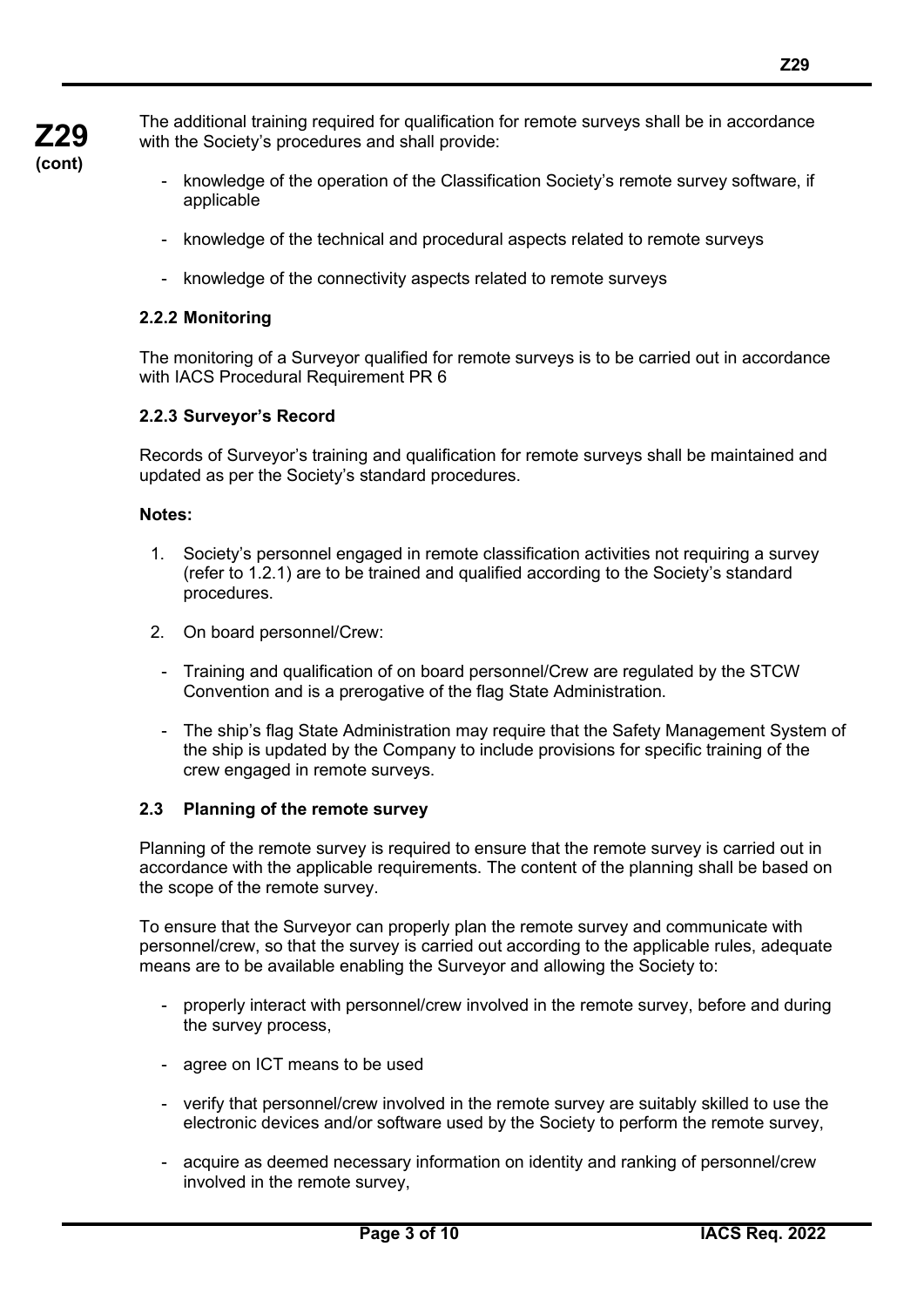The additional training required for qualification for remote surveys shall be in accordance with the Society's procedures and shall provide:

- knowledge of the operation of the Classification Society's remote survey software, if applicable
- knowledge of the technical and procedural aspects related to remote surveys
- knowledge of the connectivity aspects related to remote surveys

#### **2.2.2 Monitoring**

The monitoring of a Surveyor qualified for remote surveys is to be carried out in accordance with IACS Procedural Requirement PR 6

#### **2.2.3 Surveyor's Record**

Records of Surveyor's training and qualification for remote surveys shall be maintained and updated as per the Society's standard procedures.

#### **Notes:**

- 1. Society's personnel engaged in remote classification activities not requiring a survey (refer to 1.2.1) are to be trained and qualified according to the Society's standard procedures.
- 2. On board personnel/Crew:
	- Training and qualification of on board personnel/Crew are regulated by the STCW Convention and is a prerogative of the flag State Administration.
- The ship's flag State Administration may require that the Safety Management System of the ship is updated by the Company to include provisions for specific training of the crew engaged in remote surveys.

#### **2.3 Planning of the remote survey**

Planning of the remote survey is required to ensure that the remote survey is carried out in accordance with the applicable requirements. The content of the planning shall be based on the scope of the remote survey.

To ensure that the Surveyor can properly plan the remote survey and communicate with personnel/crew, so that the survey is carried out according to the applicable rules, adequate means are to be available enabling the Surveyor and allowing the Society to:

- properly interact with personnel/crew involved in the remote survey, before and during the survey process,
- agree on ICT means to be used
- verify that personnel/crew involved in the remote survey are suitably skilled to use the electronic devices and/or software used by the Society to perform the remote survey,
- acquire as deemed necessary information on identity and ranking of personnel/crew involved in the remote survey,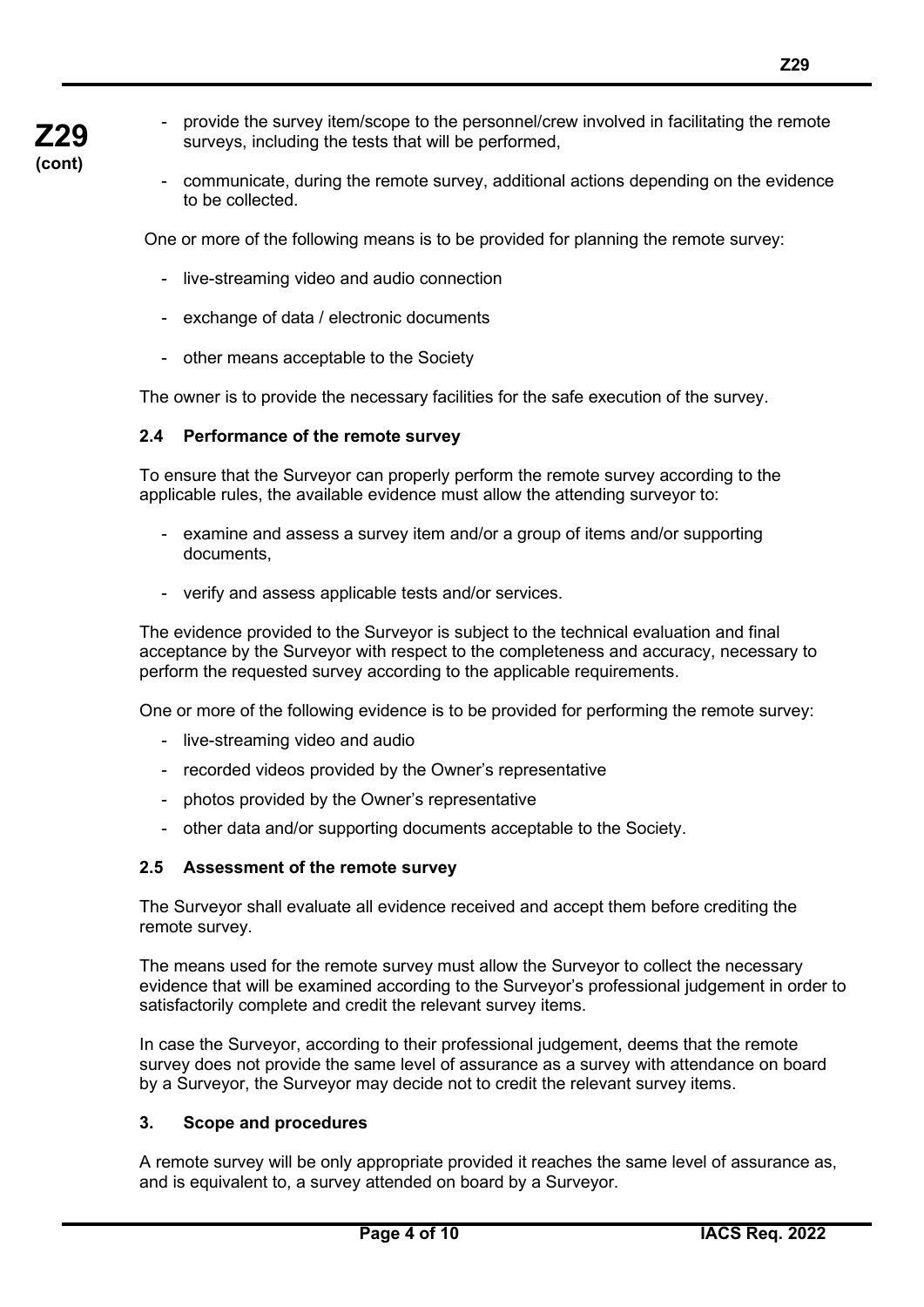- provide the survey item/scope to the personnel/crew involved in facilitating the remote surveys, including the tests that will be performed,
- communicate, during the remote survey, additional actions depending on the evidence to be collected.

One or more of the following means is to be provided for planning the remote survey:

- live-streaming video and audio connection
- exchange of data / electronic documents
- other means acceptable to the Society

The owner is to provide the necessary facilities for the safe execution of the survey.

#### **2.4 Performance of the remote survey**

To ensure that the Surveyor can properly perform the remote survey according to the applicable rules, the available evidence must allow the attending surveyor to:

- examine and assess a survey item and/or a group of items and/or supporting documents,
- verify and assess applicable tests and/or services.

The evidence provided to the Surveyor is subject to the technical evaluation and final acceptance by the Surveyor with respect to the completeness and accuracy, necessary to perform the requested survey according to the applicable requirements.

One or more of the following evidence is to be provided for performing the remote survey:

- live-streaming video and audio
- recorded videos provided by the Owner's representative
- photos provided by the Owner's representative
- other data and/or supporting documents acceptable to the Society.

#### **2.5 Assessment of the remote survey**

The Surveyor shall evaluate all evidence received and accept them before crediting the remote survey.

The means used for the remote survey must allow the Surveyor to collect the necessary evidence that will be examined according to the Surveyor's professional judgement in order to satisfactorily complete and credit the relevant survey items.

In case the Surveyor, according to their professional judgement, deems that the remote survey does not provide the same level of assurance as a survey with attendance on board by a Surveyor, the Surveyor may decide not to credit the relevant survey items.

#### **3. Scope and procedures**

A remote survey will be only appropriate provided it reaches the same level of assurance as, and is equivalent to, a survey attended on board by a Surveyor.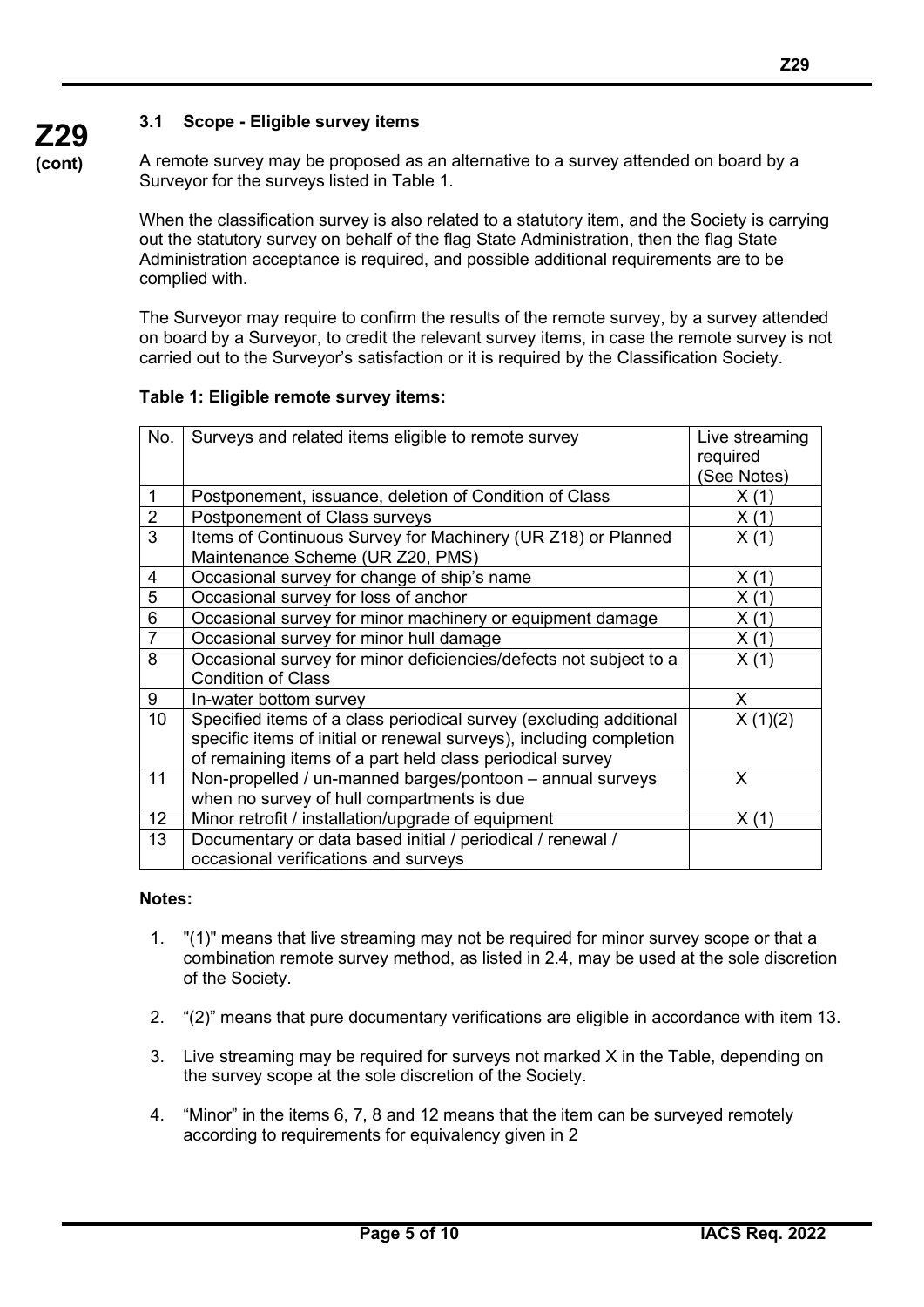# **3.1 Scope - Eligible survey items**

A remote survey may be proposed as an alternative to a survey attended on board by a Surveyor for the surveys listed in Table 1.

When the classification survey is also related to a statutory item, and the Society is carrying out the statutory survey on behalf of the flag State Administration, then the flag State Administration acceptance is required, and possible additional requirements are to be complied with.

The Surveyor may require to confirm the results of the remote survey, by a survey attended on board by a Surveyor, to credit the relevant survey items, in case the remote survey is not carried out to the Surveyor's satisfaction or it is required by the Classification Society.

#### **Table 1: Eligible remote survey items:**

| No.            | Surveys and related items eligible to remote survey                 | Live streaming |
|----------------|---------------------------------------------------------------------|----------------|
|                |                                                                     | required       |
|                |                                                                     | (See Notes)    |
| $\mathbf{1}$   | Postponement, issuance, deletion of Condition of Class              | X(1)           |
| $\overline{2}$ | Postponement of Class surveys                                       | X(1)           |
| $\overline{3}$ | Items of Continuous Survey for Machinery (UR Z18) or Planned        | X(1)           |
|                | Maintenance Scheme (UR Z20, PMS)                                    |                |
| 4              | Occasional survey for change of ship's name                         | X(1)           |
| 5              | Occasional survey for loss of anchor                                | X(1)           |
| 6              | Occasional survey for minor machinery or equipment damage           | X(1)           |
| $\overline{7}$ | Occasional survey for minor hull damage                             | X(1)           |
| 8              | Occasional survey for minor deficiencies/defects not subject to a   | X(1)           |
|                | <b>Condition of Class</b>                                           |                |
| 9              | In-water bottom survey                                              | X              |
| 10             | Specified items of a class periodical survey (excluding additional  | X(1)(2)        |
|                | specific items of initial or renewal surveys), including completion |                |
|                | of remaining items of a part held class periodical survey           |                |
| 11             | Non-propelled / un-manned barges/pontoon - annual surveys           | X              |
|                | when no survey of hull compartments is due                          |                |
| 12             | Minor retrofit / installation/upgrade of equipment                  | X(1)           |
| 13             | Documentary or data based initial / periodical / renewal /          |                |
|                | occasional verifications and surveys                                |                |

#### **Notes:**

- 1. "(1)" means that live streaming may not be required for minor survey scope or that a combination remote survey method, as listed in 2.4, may be used at the sole discretion of the Society.
- 2. "(2)" means that pure documentary verifications are eligible in accordance with item 13.
- 3. Live streaming may be required for surveys not marked X in the Table, depending on the survey scope at the sole discretion of the Society.
- 4. "Minor" in the items 6, 7, 8 and 12 means that the item can be surveyed remotely according to requirements for equivalency given in 2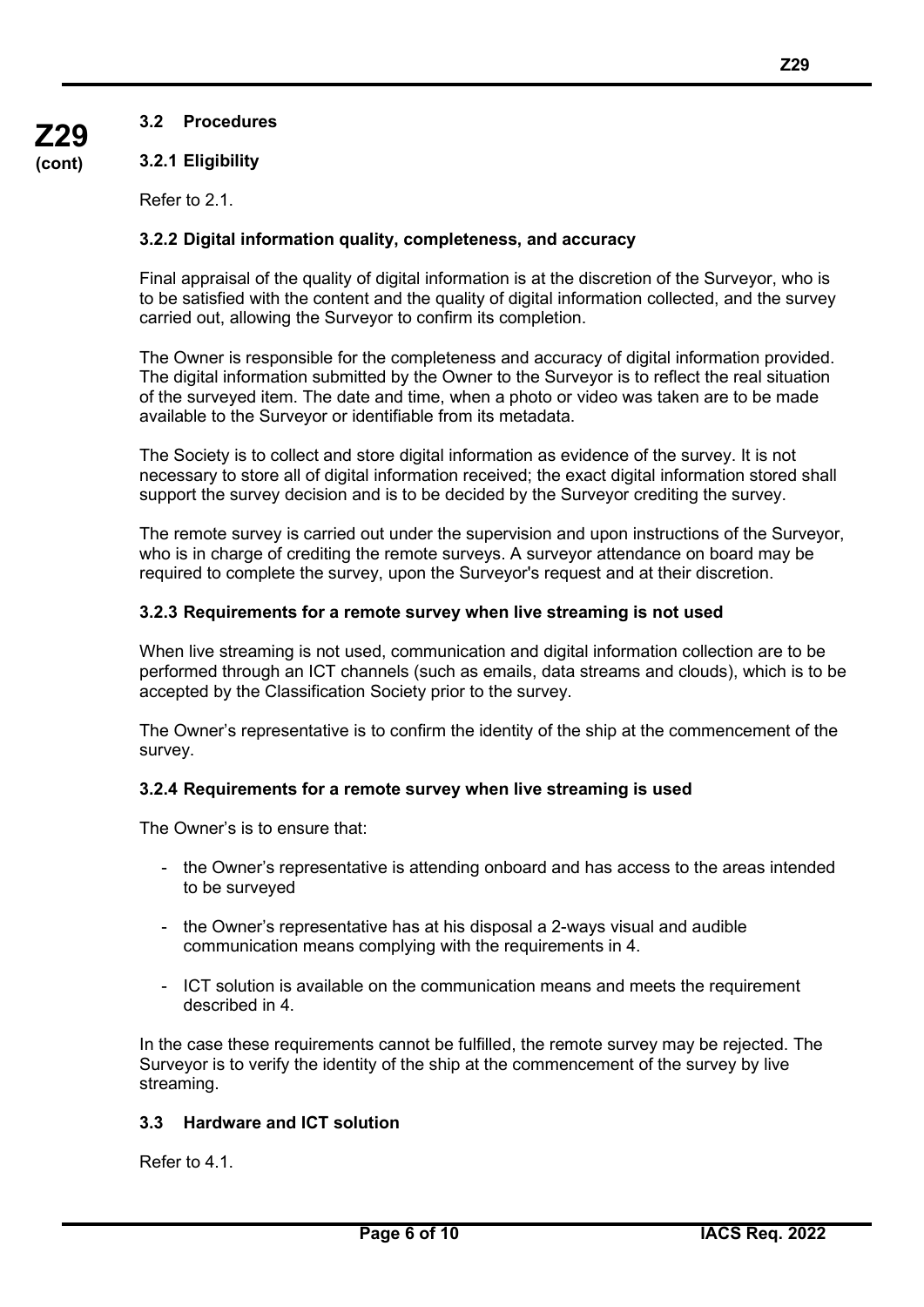### **3.2.1 Eligibility**

Refer to 2.1.

#### **3.2.2 Digital information quality, completeness, and accuracy**

Final appraisal of the quality of digital information is at the discretion of the Surveyor, who is to be satisfied with the content and the quality of digital information collected, and the survey carried out, allowing the Surveyor to confirm its completion.

The Owner is responsible for the completeness and accuracy of digital information provided. The digital information submitted by the Owner to the Surveyor is to reflect the real situation of the surveyed item. The date and time, when a photo or video was taken are to be made available to the Surveyor or identifiable from its metadata.

The Society is to collect and store digital information as evidence of the survey. It is not necessary to store all of digital information received; the exact digital information stored shall support the survey decision and is to be decided by the Surveyor crediting the survey.

The remote survey is carried out under the supervision and upon instructions of the Surveyor, who is in charge of crediting the remote surveys. A surveyor attendance on board may be required to complete the survey, upon the Surveyor's request and at their discretion.

#### **3.2.3 Requirements for a remote survey when live streaming is not used**

When live streaming is not used, communication and digital information collection are to be performed through an ICT channels (such as emails, data streams and clouds), which is to be accepted by the Classification Society prior to the survey.

The Owner's representative is to confirm the identity of the ship at the commencement of the survey.

#### **3.2.4 Requirements for a remote survey when live streaming is used**

The Owner's is to ensure that:

- the Owner's representative is attending onboard and has access to the areas intended to be surveyed
- the Owner's representative has at his disposal a 2-ways visual and audible communication means complying with the requirements in 4.
- ICT solution is available on the communication means and meets the requirement described in 4.

In the case these requirements cannot be fulfilled, the remote survey may be rejected. The Surveyor is to verify the identity of the ship at the commencement of the survey by live streaming.

#### **3.3 Hardware and ICT solution**

Refer to 4.1.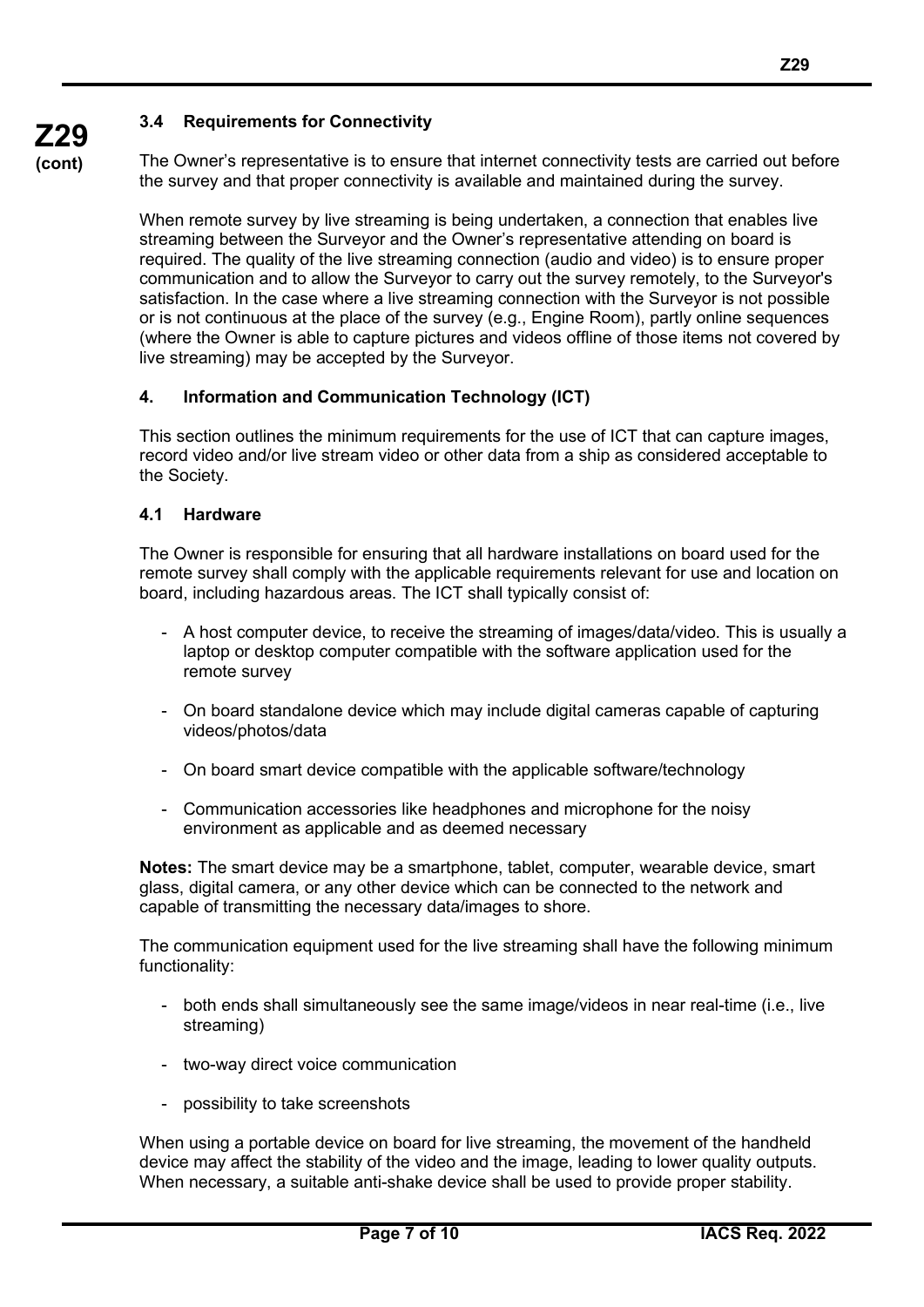**(cont)**

# **3.4 Requirements for Connectivity**

The Owner's representative is to ensure that internet connectivity tests are carried out before the survey and that proper connectivity is available and maintained during the survey.

When remote survey by live streaming is being undertaken, a connection that enables live streaming between the Surveyor and the Owner's representative attending on board is required. The quality of the live streaming connection (audio and video) is to ensure proper communication and to allow the Surveyor to carry out the survey remotely, to the Surveyor's satisfaction. In the case where a live streaming connection with the Surveyor is not possible or is not continuous at the place of the survey (e.g., Engine Room), partly online sequences (where the Owner is able to capture pictures and videos offline of those items not covered by live streaming) may be accepted by the Surveyor.

# **4. Information and Communication Technology (ICT)**

This section outlines the minimum requirements for the use of ICT that can capture images, record video and/or live stream video or other data from a ship as considered acceptable to the Society.

# **4.1 Hardware**

The Owner is responsible for ensuring that all hardware installations on board used for the remote survey shall comply with the applicable requirements relevant for use and location on board, including hazardous areas. The ICT shall typically consist of:

- A host computer device, to receive the streaming of images/data/video. This is usually a laptop or desktop computer compatible with the software application used for the remote survey
- On board standalone device which may include digital cameras capable of capturing videos/photos/data
- On board smart device compatible with the applicable software/technology
- Communication accessories like headphones and microphone for the noisy environment as applicable and as deemed necessary

**Notes:** The smart device may be a smartphone, tablet, computer, wearable device, smart glass, digital camera, or any other device which can be connected to the network and capable of transmitting the necessary data/images to shore.

The communication equipment used for the live streaming shall have the following minimum functionality:

- both ends shall simultaneously see the same image/videos in near real-time (i.e., live streaming)
- two-way direct voice communication
- possibility to take screenshots

When using a portable device on board for live streaming, the movement of the handheld device may affect the stability of the video and the image, leading to lower quality outputs. When necessary, a suitable anti-shake device shall be used to provide proper stability.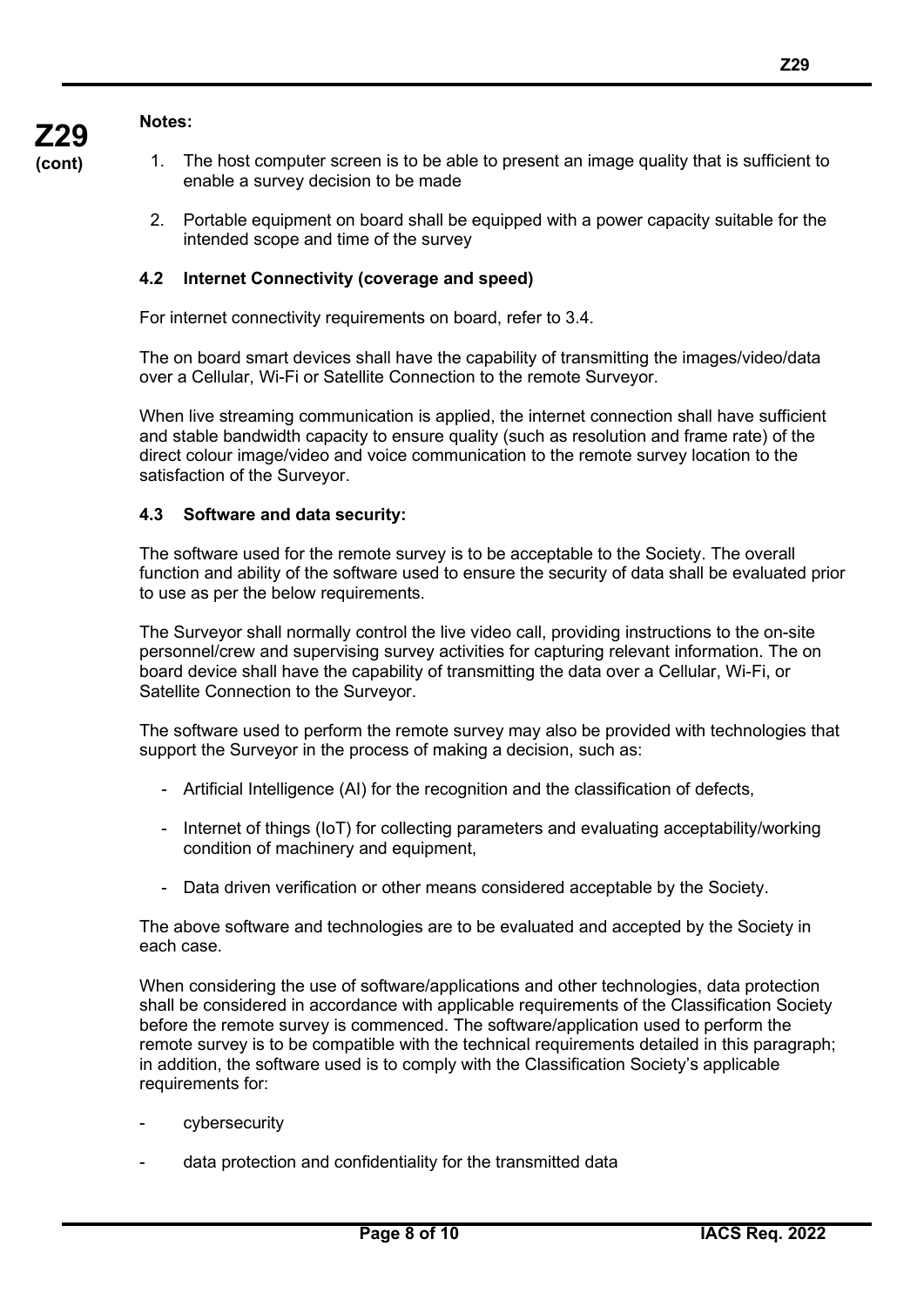#### **Notes:**

**Z29 (cont)**

- 1. The host computer screen is to be able to present an image quality that is sufficient to enable a survey decision to be made
	- 2. Portable equipment on board shall be equipped with a power capacity suitable for the intended scope and time of the survey

# **4.2 Internet Connectivity (coverage and speed)**

For internet connectivity requirements on board, refer to 3.4.

The on board smart devices shall have the capability of transmitting the images/video/data over a Cellular, Wi-Fi or Satellite Connection to the remote Surveyor.

When live streaming communication is applied, the internet connection shall have sufficient and stable bandwidth capacity to ensure quality (such as resolution and frame rate) of the direct colour image/video and voice communication to the remote survey location to the satisfaction of the Surveyor.

#### **4.3 Software and data security:**

The software used for the remote survey is to be acceptable to the Society. The overall function and ability of the software used to ensure the security of data shall be evaluated prior to use as per the below requirements.

The Surveyor shall normally control the live video call, providing instructions to the on-site personnel/crew and supervising survey activities for capturing relevant information. The on board device shall have the capability of transmitting the data over a Cellular, Wi-Fi, or Satellite Connection to the Surveyor.

The software used to perform the remote survey may also be provided with technologies that support the Surveyor in the process of making a decision, such as:

- Artificial Intelligence (AI) for the recognition and the classification of defects,
- Internet of things (IoT) for collecting parameters and evaluating acceptability/working condition of machinery and equipment,
- Data driven verification or other means considered acceptable by the Society.

The above software and technologies are to be evaluated and accepted by the Society in each case.

When considering the use of software/applications and other technologies, data protection shall be considered in accordance with applicable requirements of the Classification Society before the remote survey is commenced. The software/application used to perform the remote survey is to be compatible with the technical requirements detailed in this paragraph; in addition, the software used is to comply with the Classification Society's applicable requirements for:

- cybersecurity
- data protection and confidentiality for the transmitted data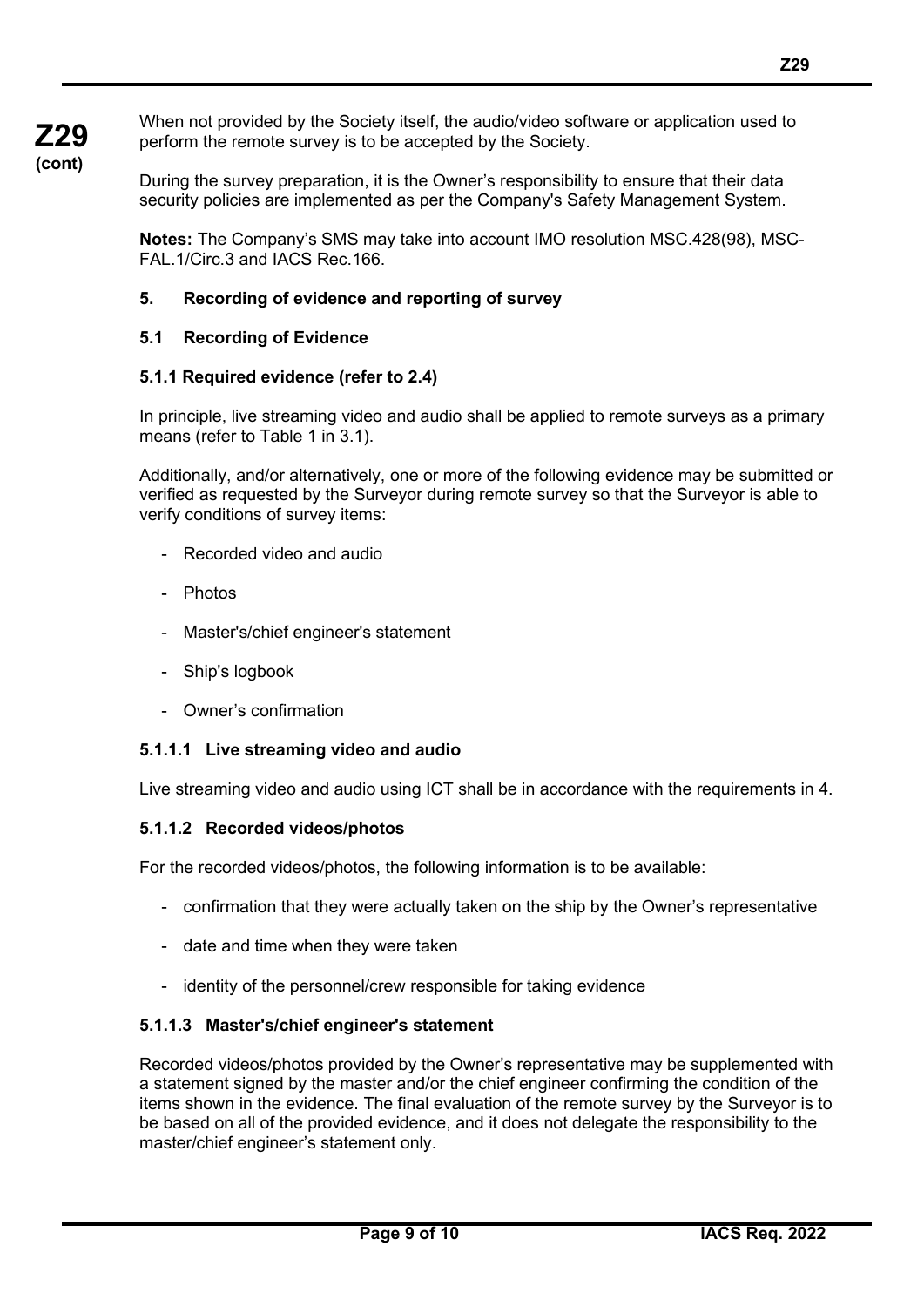When not provided by the Society itself, the audio/video software or application used to perform the remote survey is to be accepted by the Society.

During the survey preparation, it is the Owner's responsibility to ensure that their data security policies are implemented as per the Company's Safety Management System.

**Notes:** The Company's SMS may take into account IMO resolution MSC.428(98), MSC-FAL.1/Circ.3 and IACS Rec.166.

## **5. Recording of evidence and reporting of survey**

#### **5.1 Recording of Evidence**

#### **5.1.1 Required evidence (refer to 2.4)**

In principle, live streaming video and audio shall be applied to remote surveys as a primary means (refer to Table 1 in 3.1).

Additionally, and/or alternatively, one or more of the following evidence may be submitted or verified as requested by the Surveyor during remote survey so that the Surveyor is able to verify conditions of survey items:

- Recorded video and audio
- Photos
- Master's/chief engineer's statement
- Ship's logbook
- Owner's confirmation

#### **5.1.1.1 Live streaming video and audio**

Live streaming video and audio using ICT shall be in accordance with the requirements in 4.

#### **5.1.1.2 Recorded videos/photos**

For the recorded videos/photos, the following information is to be available:

- confirmation that they were actually taken on the ship by the Owner's representative
- date and time when they were taken
- identity of the personnel/crew responsible for taking evidence

#### **5.1.1.3 Master's/chief engineer's statement**

Recorded videos/photos provided by the Owner's representative may be supplemented with a statement signed by the master and/or the chief engineer confirming the condition of the items shown in the evidence. The final evaluation of the remote survey by the Surveyor is to be based on all of the provided evidence, and it does not delegate the responsibility to the master/chief engineer's statement only.